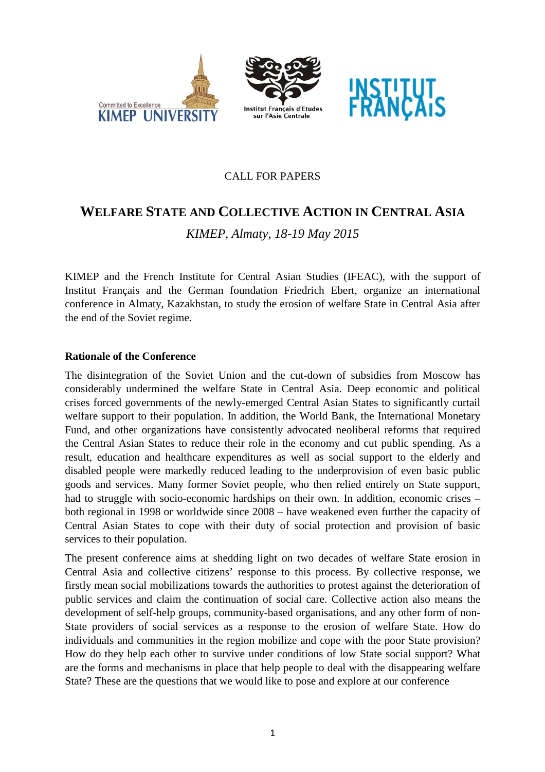





## CALL FOR PAPERS

# **WELFARE STATE AND COLLECTIVE ACTION IN CENTRAL ASIA**

*KIMEP, Almaty, 18-19 May 2015* 

KIMEP and the French Institute for Central Asian Studies (IFEAC), with the support of Institut Français and the German foundation Friedrich Ebert, organize an international conference in Almaty, Kazakhstan, to study the erosion of welfare State in Central Asia after the end of the Soviet regime.

### **Rationale of the Conference**

The disintegration of the Soviet Union and the cut-down of subsidies from Moscow has considerably undermined the welfare State in Central Asia. Deep economic and political crises forced governments of the newly-emerged Central Asian States to significantly curtail welfare support to their population. In addition, the World Bank, the International Monetary Fund, and other organizations have consistently advocated neoliberal reforms that required the Central Asian States to reduce their role in the economy and cut public spending. As a result, education and healthcare expenditures as well as social support to the elderly and disabled people were markedly reduced leading to the underprovision of even basic public goods and services. Many former Soviet people, who then relied entirely on State support, had to struggle with socio-economic hardships on their own. In addition, economic crises – both regional in 1998 or worldwide since 2008 – have weakened even further the capacity of Central Asian States to cope with their duty of social protection and provision of basic services to their population.

The present conference aims at shedding light on two decades of welfare State erosion in Central Asia and collective citizens' response to this process. By collective response, we firstly mean social mobilizations towards the authorities to protest against the deterioration of public services and claim the continuation of social care. Collective action also means the development of self-help groups, community-based organisations, and any other form of non-State providers of social services as a response to the erosion of welfare State. How do individuals and communities in the region mobilize and cope with the poor State provision? How do they help each other to survive under conditions of low State social support? What are the forms and mechanisms in place that help people to deal with the disappearing welfare State? These are the questions that we would like to pose and explore at our conference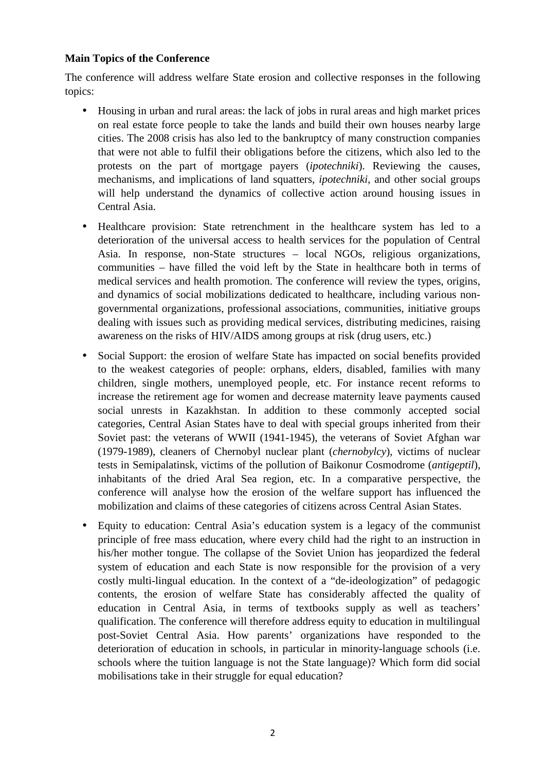#### **Main Topics of the Conference**

The conference will address welfare State erosion and collective responses in the following topics:

- Housing in urban and rural areas: the lack of jobs in rural areas and high market prices on real estate force people to take the lands and build their own houses nearby large cities. The 2008 crisis has also led to the bankruptcy of many construction companies that were not able to fulfil their obligations before the citizens, which also led to the protests on the part of mortgage payers (*ipotechniki*). Reviewing the causes, mechanisms, and implications of land squatters, *ipotechniki*, and other social groups will help understand the dynamics of collective action around housing issues in Central Asia.
- Healthcare provision: State retrenchment in the healthcare system has led to a deterioration of the universal access to health services for the population of Central Asia. In response, non-State structures – local NGOs, religious organizations, communities – have filled the void left by the State in healthcare both in terms of medical services and health promotion. The conference will review the types, origins, and dynamics of social mobilizations dedicated to healthcare, including various nongovernmental organizations, professional associations, communities, initiative groups dealing with issues such as providing medical services, distributing medicines, raising awareness on the risks of HIV/AIDS among groups at risk (drug users, etc.)
- Social Support: the erosion of welfare State has impacted on social benefits provided to the weakest categories of people: orphans, elders, disabled, families with many children, single mothers, unemployed people, etc. For instance recent reforms to increase the retirement age for women and decrease maternity leave payments caused social unrests in Kazakhstan. In addition to these commonly accepted social categories, Central Asian States have to deal with special groups inherited from their Soviet past: the veterans of WWII (1941-1945), the veterans of Soviet Afghan war (1979-1989), cleaners of Chernobyl nuclear plant (*chernobylcy*), victims of nuclear tests in Semipalatinsk, victims of the pollution of Baikonur Cosmodrome (*antigeptil*), inhabitants of the dried Aral Sea region, etc. In a comparative perspective, the conference will analyse how the erosion of the welfare support has influenced the mobilization and claims of these categories of citizens across Central Asian States.
- Equity to education: Central Asia's education system is a legacy of the communist principle of free mass education, where every child had the right to an instruction in his/her mother tongue. The collapse of the Soviet Union has jeopardized the federal system of education and each State is now responsible for the provision of a very costly multi-lingual education. In the context of a "de-ideologization" of pedagogic contents, the erosion of welfare State has considerably affected the quality of education in Central Asia, in terms of textbooks supply as well as teachers' qualification. The conference will therefore address equity to education in multilingual post-Soviet Central Asia. How parents' organizations have responded to the deterioration of education in schools, in particular in minority-language schools (i.e. schools where the tuition language is not the State language)? Which form did social mobilisations take in their struggle for equal education?